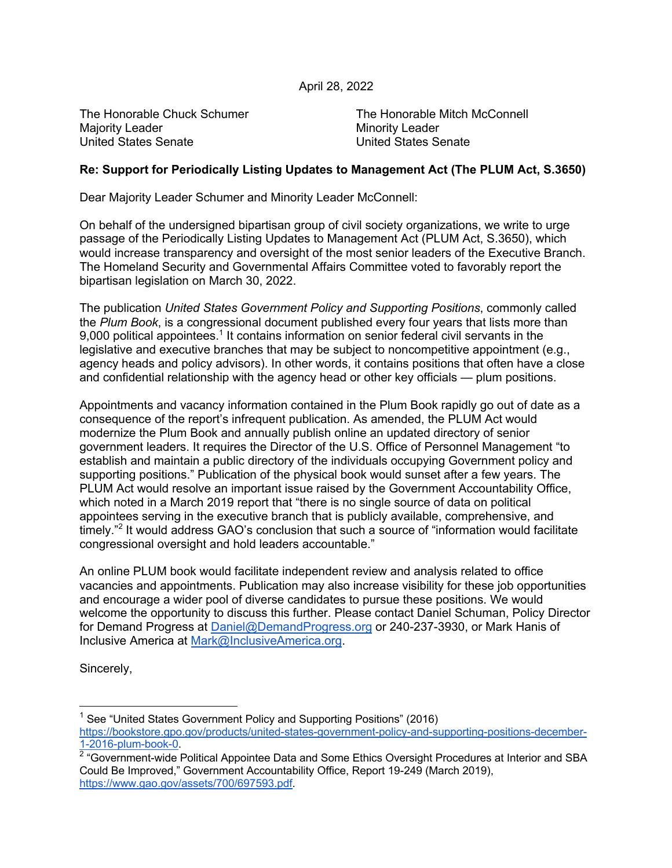## April 28, 2022

Majority Leader **Minority Leader** Minority Leader United States Senate United States Senate

The Honorable Chuck Schumer The Honorable Mitch McConnell

## **Re: Support for Periodically Listing Updates to Management Act (The PLUM Act, S.3650)**

Dear Majority Leader Schumer and Minority Leader McConnell:

On behalf of the undersigned bipartisan group of civil society organizations, we write to urge passage of the Periodically Listing Updates to Management Act (PLUM Act, S.3650), which would increase transparency and oversight of the most senior leaders of the Executive Branch. The Homeland Security and Governmental Affairs Committee voted to favorably report the bipartisan legislation on March 30, 2022.

The publication *United States Government Policy and Supporting Positions*, commonly called the *Plum Book*, is a congressional document published every four years that lists more than 9,000 political appointees.<sup>1</sup> It contains information on senior federal civil servants in the legislative and executive branches that may be subject to noncompetitive appointment (e.g., agency heads and policy advisors). In other words, it contains positions that often have a close and confidential relationship with the agency head or other key officials — plum positions.

Appointments and vacancy information contained in the Plum Book rapidly go out of date as a consequence of the report's infrequent publication. As amended, the PLUM Act would modernize the Plum Book and annually publish online an updated directory of senior government leaders. It requires the Director of the U.S. Office of Personnel Management "to establish and maintain a public directory of the individuals occupying Government policy and supporting positions." Publication of the physical book would sunset after a few years. The PLUM Act would resolve an important issue raised by the Government Accountability Office, which noted in a March 2019 report that "there is no single source of data on political appointees serving in the executive branch that is publicly available, comprehensive, and timely."<sup>2</sup> It would address GAO's conclusion that such a source of "information would facilitate" congressional oversight and hold leaders accountable."

An online PLUM book would facilitate independent review and analysis related to office vacancies and appointments. Publication may also increase visibility for these job opportunities and encourage a wider pool of diverse candidates to pursue these positions. We would welcome the opportunity to discuss this further. Please contact Daniel Schuman, Policy Director for Demand Progress at Daniel@DemandProgress.org or 240-237-3930, or Mark Hanis of Inclusive America at Mark@InclusiveAmerica.org.

Sincerely,

<sup>&</sup>lt;sup>1</sup> See "United States Government Policy and Supporting Positions" (2016) https://bookstore.gpo.gov/products/united-states-government-policy-and-supporting-positions-december-1-2016-plum-book-0.

 $2$  "Government-wide Political Appointee Data and Some Ethics Oversight Procedures at Interior and SBA Could Be Improved," Government Accountability Office, Report 19-249 (March 2019), https://www.gao.gov/assets/700/697593.pdf.